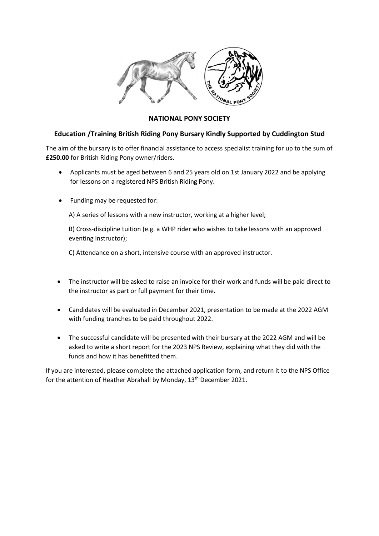

## **NATIONAL PONY SOCIETY**

## **Education /Training British Riding Pony Bursary Kindly Supported by Cuddington Stud**

The aim of the bursary is to offer financial assistance to access specialist training for up to the sum of **£250.00** for British Riding Pony owner/riders.

- Applicants must be aged between 6 and 25 years old on 1st January 2022 and be applying for lessons on a registered NPS British Riding Pony.
- Funding may be requested for:

A) A series of lessons with a new instructor, working at a higher level;

B) Cross-discipline tuition (e.g. a WHP rider who wishes to take lessons with an approved eventing instructor);

C) Attendance on a short, intensive course with an approved instructor.

- The instructor will be asked to raise an invoice for their work and funds will be paid direct to the instructor as part or full payment for their time.
- Candidates will be evaluated in December 2021, presentation to be made at the 2022 AGM with funding tranches to be paid throughout 2022.
- The successful candidate will be presented with their bursary at the 2022 AGM and will be asked to write a short report for the 2023 NPS Review, explaining what they did with the funds and how it has benefitted them.

If you are interested, please complete the attached application form, and return it to the NPS Office for the attention of Heather Abrahall by Monday, 13<sup>th</sup> December 2021.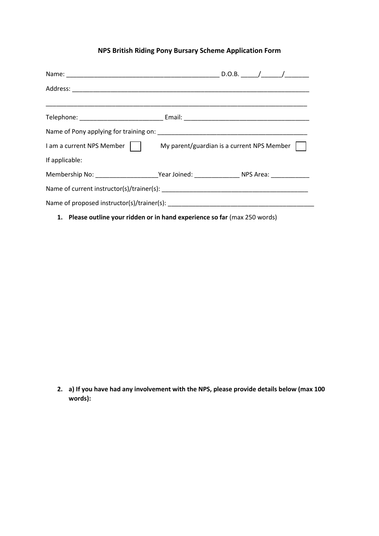# **NPS British Riding Pony Bursary Scheme Application Form**

|                | I am a current NPS Member   My parent/guardian is a current NPS Member                                    |  |  |  |
|----------------|-----------------------------------------------------------------------------------------------------------|--|--|--|
| If applicable: |                                                                                                           |  |  |  |
|                | Membership No: ___________________________Year Joined: __________________________ NPS Area: _____________ |  |  |  |
|                |                                                                                                           |  |  |  |
|                |                                                                                                           |  |  |  |

**1. Please outline your ridden or in hand experience so far** (max 250 words)

**2. a) If you have had any involvement with the NPS, please provide details below (max 100 words):**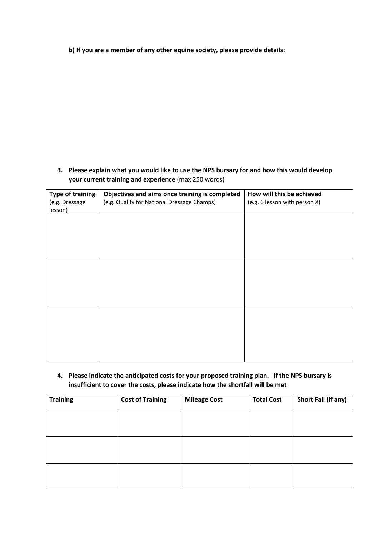**b) If you are a member of any other equine society, please provide details:**

**3. Please explain what you would like to use the NPS bursary for and how this would develop your current training and experience** (max 250 words)

| Objectives and aims once training is completed<br>(e.g. Qualify for National Dressage Champs) | How will this be achieved<br>(e.g. 6 lesson with person X) |  |
|-----------------------------------------------------------------------------------------------|------------------------------------------------------------|--|
|                                                                                               |                                                            |  |
|                                                                                               |                                                            |  |
|                                                                                               |                                                            |  |
|                                                                                               |                                                            |  |
|                                                                                               |                                                            |  |
|                                                                                               |                                                            |  |
|                                                                                               |                                                            |  |

**4. Please indicate the anticipated costs for your proposed training plan. If the NPS bursary is insufficient to cover the costs, please indicate how the shortfall will be met** 

| <b>Training</b> | <b>Cost of Training</b> | <b>Mileage Cost</b> | <b>Total Cost</b> | Short Fall (if any) |
|-----------------|-------------------------|---------------------|-------------------|---------------------|
|                 |                         |                     |                   |                     |
|                 |                         |                     |                   |                     |
|                 |                         |                     |                   |                     |
|                 |                         |                     |                   |                     |
|                 |                         |                     |                   |                     |
|                 |                         |                     |                   |                     |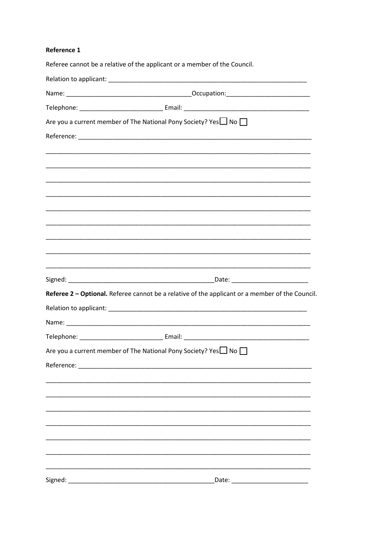#### Reference 1

| Referee cannot be a relative of the applicant or a member of the Council.                                             |
|-----------------------------------------------------------------------------------------------------------------------|
|                                                                                                                       |
|                                                                                                                       |
|                                                                                                                       |
| Are you a current member of The National Pony Society? Yes $\Box$ No $\Box$                                           |
|                                                                                                                       |
|                                                                                                                       |
|                                                                                                                       |
|                                                                                                                       |
|                                                                                                                       |
|                                                                                                                       |
| <u> 1989 - Johann Harry Harry Harry Harry Harry Harry Harry Harry Harry Harry Harry Harry Harry Harry Harry Harry</u> |
|                                                                                                                       |
| <u> 1989 - Johann Harry Harry Harry Harry Harry Harry Harry Harry Harry Harry Harry Harry Harry Harry Harry Harry</u> |
|                                                                                                                       |
|                                                                                                                       |
| Referee 2 - Optional. Referee cannot be a relative of the applicant or a member of the Council.                       |
| Relation to applicant: Latin and Alexander and Alexander and Alexander and Alexander and Alexander and Alexander      |
|                                                                                                                       |
|                                                                                                                       |
| Are you a current member of The National Pony Society? Yes No                                                         |
|                                                                                                                       |
|                                                                                                                       |
|                                                                                                                       |
|                                                                                                                       |
|                                                                                                                       |
|                                                                                                                       |
|                                                                                                                       |
|                                                                                                                       |
|                                                                                                                       |